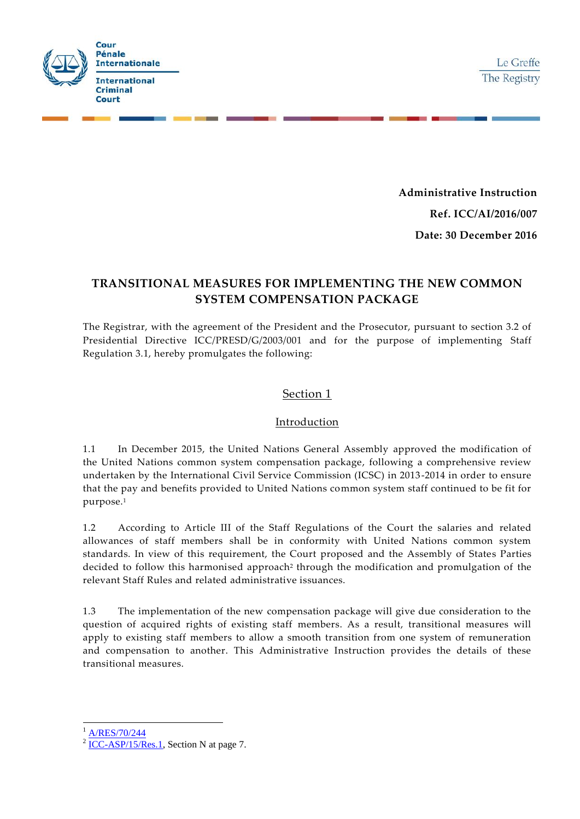

**Administrative Instruction Ref. ICC/AI/2016/007 Date: 30 December 2016**

# **TRANSITIONAL MEASURES FOR IMPLEMENTING THE NEW COMMON SYSTEM COMPENSATION PACKAGE**

The Registrar, with the agreement of the President and the Prosecutor, pursuant to section 3.2 of Presidential Directive ICC/PRESD/G/2003/001 and for the purpose of implementing Staff Regulation 3.1, hereby promulgates the following:

### Section 1

### Introduction

1.1 In December 2015, the United Nations General Assembly approved the modification of the United Nations common system compensation package, following a comprehensive review undertaken by the International Civil Service Commission (ICSC) in 2013-2014 in order to ensure that the pay and benefits provided to United Nations common system staff continued to be fit for purpose.<sup>1</sup>

1.2 According to Article III of the Staff Regulations of the Court the salaries and related allowances of staff members shall be in conformity with United Nations common system standards. In view of this requirement, the Court proposed and the Assembly of States Parties decided to follow this harmonised approach<sup>2</sup> through the modification and promulgation of the relevant Staff Rules and related administrative issuances.

1.3 The implementation of the new compensation package will give due consideration to the question of acquired rights of existing staff members. As a result, transitional measures will apply to existing staff members to allow a smooth transition from one system of remuneration and compensation to another. This Administrative Instruction provides the details of these transitional measures.

[A/RES/70/244](http://www.un.org/en/ga/search/view_doc.asp?symbol=A/RES/70/244)

-

 $2$  [ICC-ASP/15/Res.1,](https://asp.icc-cpi.int/iccdocs/asp_docs/Resolutions/ASP15/ICC-ASP-15-Res1-ENG.pdf) Section N at page 7.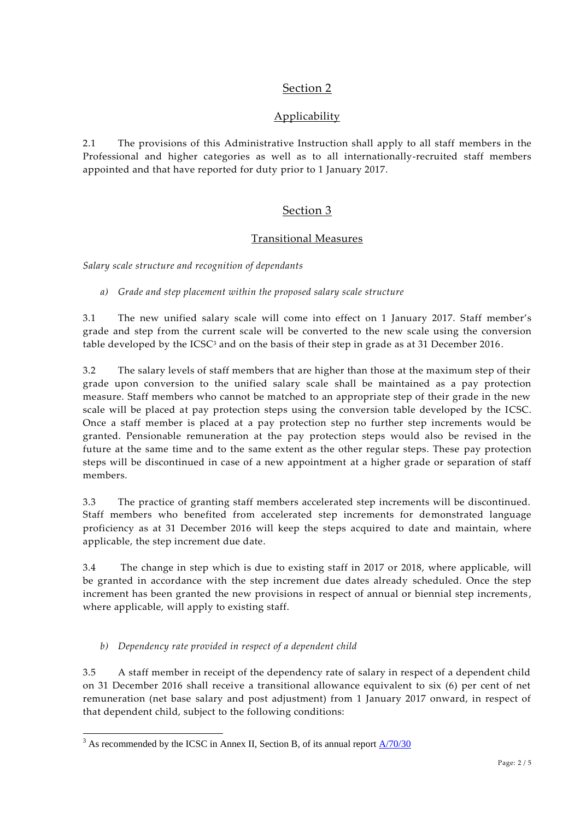## Section 2

## Applicability

2.1 The provisions of this Administrative Instruction shall apply to all staff members in the Professional and higher categories as well as to all internationally-recruited staff members appointed and that have reported for duty prior to 1 January 2017.

## Section 3

### Transitional Measures

*Salary scale structure and recognition of dependants*

*a) Grade and step placement within the proposed salary scale structure* 

3.1 The new unified salary scale will come into effect on 1 January 2017. Staff member's grade and step from the current scale will be converted to the new scale using the conversion table developed by the ICSC<sup>3</sup> and on the basis of their step in grade as at 31 December 2016.

3.2 The salary levels of staff members that are higher than those at the maximum step of their grade upon conversion to the unified salary scale shall be maintained as a pay protection measure. Staff members who cannot be matched to an appropriate step of their grade in the new scale will be placed at pay protection steps using the conversion table developed by the ICSC. Once a staff member is placed at a pay protection step no further step increments would be granted. Pensionable remuneration at the pay protection steps would also be revised in the future at the same time and to the same extent as the other regular steps. These pay protection steps will be discontinued in case of a new appointment at a higher grade or separation of staff members.

3.3 The practice of granting staff members accelerated step increments will be discontinued. Staff members who benefited from accelerated step increments for demonstrated language proficiency as at 31 December 2016 will keep the steps acquired to date and maintain, where applicable, the step increment due date.

3.4 The change in step which is due to existing staff in 2017 or 2018, where applicable, will be granted in accordance with the step increment due dates already scheduled. Once the step increment has been granted the new provisions in respect of annual or biennial step increments , where applicable, will apply to existing staff.

*b) Dependency rate provided in respect of a dependent child* 

3.5 A staff member in receipt of the dependency rate of salary in respect of a dependent child on 31 December 2016 shall receive a transitional allowance equivalent to six (6) per cent of net remuneration (net base salary and post adjustment) from 1 January 2017 onward, in respect of that dependent child, subject to the following conditions:

<sup>-</sup> $3$  As recommended by the ICSC in Annex II, Section B, of its annual report  $\frac{\Delta}{70/30}$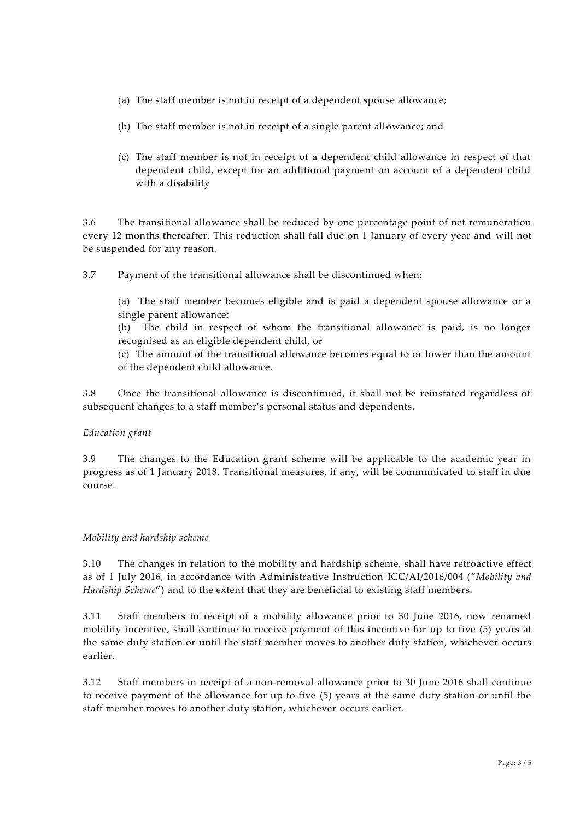- (a) The staff member is not in receipt of a dependent spouse allowance;
- (b) The staff member is not in receipt of a single parent allowance; and
- (c) The staff member is not in receipt of a dependent child allowance in respect of that dependent child, except for an additional payment on account of a dependent child with a disability

3.6 The transitional allowance shall be reduced by one percentage point of net remuneration every 12 months thereafter. This reduction shall fall due on 1 January of every year and will not be suspended for any reason.

3.7 Payment of the transitional allowance shall be discontinued when:

(a) The staff member becomes eligible and is paid a dependent spouse allowance or a single parent allowance;

(b) The child in respect of whom the transitional allowance is paid, is no longer recognised as an eligible dependent child, or

(c) The amount of the transitional allowance becomes equal to or lower than the amount of the dependent child allowance.

3.8 Once the transitional allowance is discontinued, it shall not be reinstated regardless of subsequent changes to a staff member's personal status and dependents.

### *Education grant*

3.9 The changes to the Education grant scheme will be applicable to the academic year in progress as of 1 January 2018. Transitional measures, if any, will be communicated to staff in due course.

#### *Mobility and hardship scheme*

3.10 The changes in relation to the mobility and hardship scheme, shall have retroactive effect as of 1 July 2016, in accordance with Administrative Instruction ICC/AI/2016/004 ("*Mobility and Hardship Scheme"*) and to the extent that they are beneficial to existing staff members.

3.11 Staff members in receipt of a mobility allowance prior to 30 June 2016, now renamed mobility incentive, shall continue to receive payment of this incentive for up to five (5) years at the same duty station or until the staff member moves to another duty station, whichever occurs earlier.

3.12 Staff members in receipt of a non-removal allowance prior to 30 June 2016 shall continue to receive payment of the allowance for up to five (5) years at the same duty station or until the staff member moves to another duty station, whichever occurs earlier.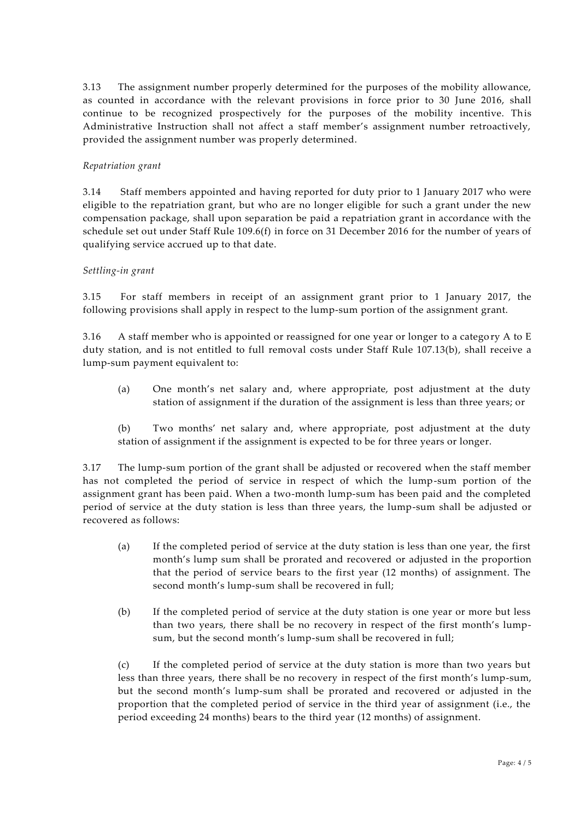3.13 The assignment number properly determined for the purposes of the mobility allowance, as counted in accordance with the relevant provisions in force prior to 30 June 2016, shall continue to be recognized prospectively for the purposes of the mobility incentive. This Administrative Instruction shall not affect a staff member's assignment number retroactively, provided the assignment number was properly determined.

#### *Repatriation grant*

3.14 Staff members appointed and having reported for duty prior to 1 January 2017 who were eligible to the repatriation grant, but who are no longer eligible for such a grant under the new compensation package, shall upon separation be paid a repatriation grant in accordance with the schedule set out under Staff Rule 109.6(f) in force on 31 December 2016 for the number of years of qualifying service accrued up to that date.

#### *Settling-in grant*

3.15 For staff members in receipt of an assignment grant prior to 1 January 2017, the following provisions shall apply in respect to the lump-sum portion of the assignment grant.

3.16 A staff member who is appointed or reassigned for one year or longer to a catego ry A to E duty station, and is not entitled to full removal costs under Staff Rule 107.13(b), shall receive a lump-sum payment equivalent to:

(a) One month's net salary and, where appropriate, post adjustment at the duty station of assignment if the duration of the assignment is less than three years; or

(b) Two months' net salary and, where appropriate, post adjustment at the duty station of assignment if the assignment is expected to be for three years or longer.

3.17 The lump-sum portion of the grant shall be adjusted or recovered when the staff member has not completed the period of service in respect of which the lump-sum portion of the assignment grant has been paid. When a two-month lump-sum has been paid and the completed period of service at the duty station is less than three years, the lump-sum shall be adjusted or recovered as follows:

- (a) If the completed period of service at the duty station is less than one year, the first month's lump sum shall be prorated and recovered or adjusted in the proportion that the period of service bears to the first year (12 months) of assignment. The second month's lump-sum shall be recovered in full;
- (b) If the completed period of service at the duty station is one year or more but less than two years, there shall be no recovery in respect of the first month's lumpsum, but the second month's lump-sum shall be recovered in full;

(c) If the completed period of service at the duty station is more than two years but less than three years, there shall be no recovery in respect of the first month's lump-sum, but the second month's lump-sum shall be prorated and recovered or adjusted in the proportion that the completed period of service in the third year of assignment (i.e., the period exceeding 24 months) bears to the third year (12 months) of assignment.